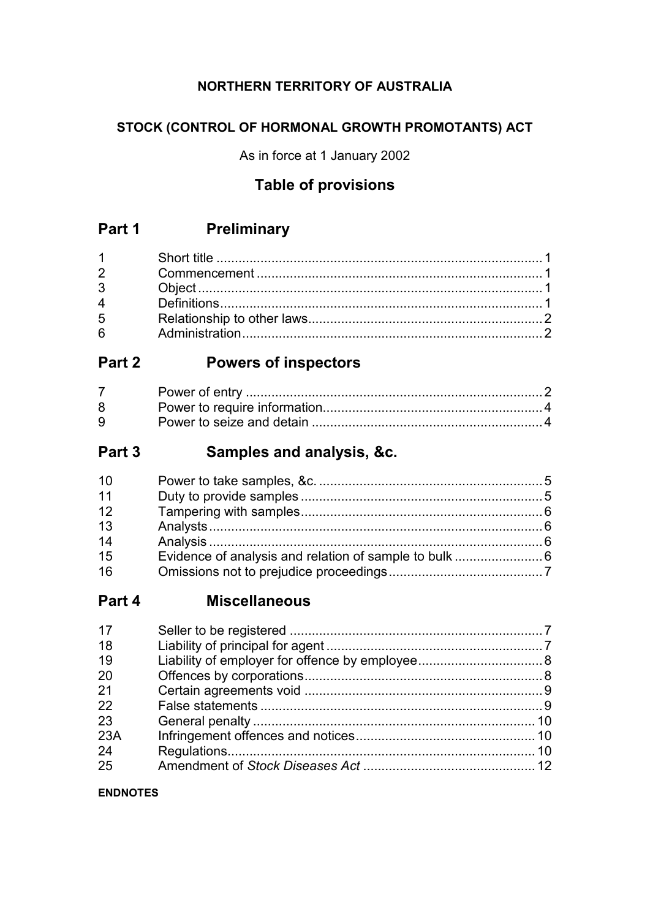# **NORTHERN TERRITORY OF AUSTRALIA**

# **STOCK (CONTROL OF HORMONAL GROWTH PROMOTANTS) ACT**

As in force at 1 January 2002

# **Table of provisions**

# **Part 1 Preliminary**

| $1 \quad \blacksquare$         |  |
|--------------------------------|--|
| $2 \left( \frac{1}{2} \right)$ |  |
| 3 <sup>1</sup>                 |  |
| $\overline{4}$                 |  |
| 5 <sup>5</sup>                 |  |
| $6\overline{6}$                |  |

# **Part 2 Powers of inspectors**

| 8 |  |
|---|--|
| 9 |  |

# **Part 3 Samples and analysis, &c.**

| 10 |  |
|----|--|
| 11 |  |
| 12 |  |
| 13 |  |
| 14 |  |
| 15 |  |
| 16 |  |

# **Part 4 Miscellaneous**

| 17  |  |
|-----|--|
| 18  |  |
| 19  |  |
| 20  |  |
| 21  |  |
| 22  |  |
| 23  |  |
| 23A |  |
| 24  |  |
| 25  |  |

### **ENDNOTES**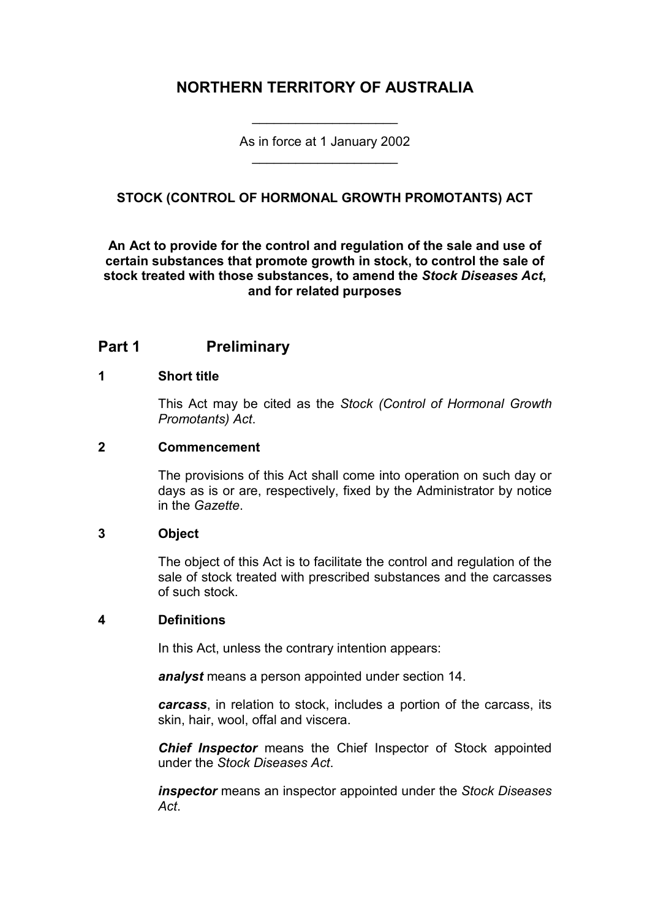# **NORTHERN TERRITORY OF AUSTRALIA**

As in force at 1 January 2002 \_\_\_\_\_\_\_\_\_\_\_\_\_\_\_\_\_\_\_\_

\_\_\_\_\_\_\_\_\_\_\_\_\_\_\_\_\_\_\_\_

## **STOCK (CONTROL OF HORMONAL GROWTH PROMOTANTS) ACT**

## **An Act to provide for the control and regulation of the sale and use of certain substances that promote growth in stock, to control the sale of stock treated with those substances, to amend the** *Stock Diseases Act***, and for related purposes**

# **Part 1 Preliminary**

#### **1 Short title**

This Act may be cited as the *Stock (Control of Hormonal Growth Promotants) Act*.

#### **2 Commencement**

The provisions of this Act shall come into operation on such day or days as is or are, respectively, fixed by the Administrator by notice in the *Gazette*.

### **3 Object**

The object of this Act is to facilitate the control and regulation of the sale of stock treated with prescribed substances and the carcasses of such stock.

### **4 Definitions**

In this Act, unless the contrary intention appears:

*analyst* means a person appointed under section 14.

*carcass*, in relation to stock, includes a portion of the carcass, its skin, hair, wool, offal and viscera.

*Chief Inspector* means the Chief Inspector of Stock appointed under the *Stock Diseases Act*.

*inspector* means an inspector appointed under the *Stock Diseases Act*.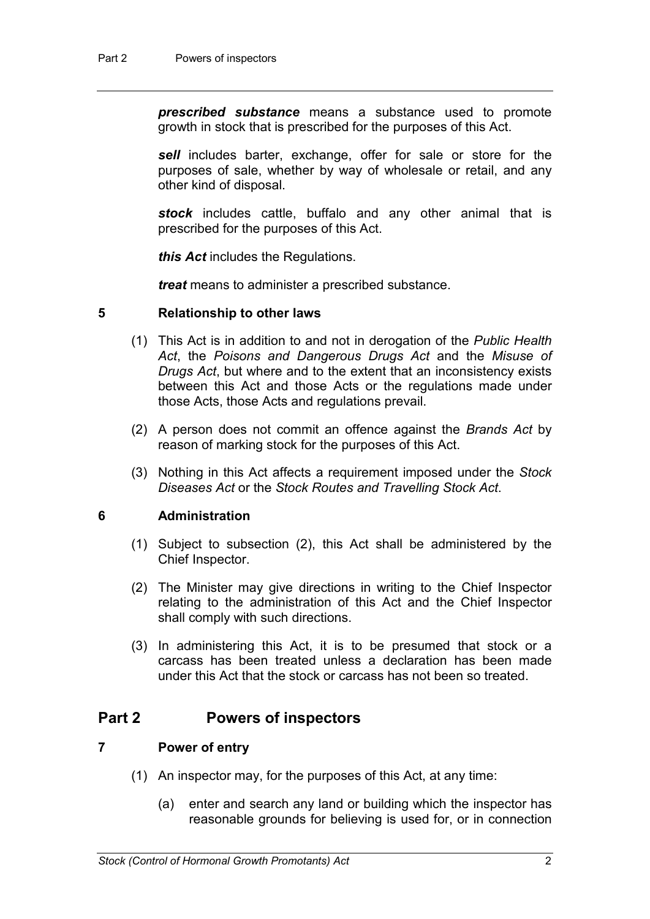*prescribed substance* means a substance used to promote growth in stock that is prescribed for the purposes of this Act.

*sell* includes barter, exchange, offer for sale or store for the purposes of sale, whether by way of wholesale or retail, and any other kind of disposal.

*stock* includes cattle, buffalo and any other animal that is prescribed for the purposes of this Act.

*this Act* includes the Regulations.

*treat* means to administer a prescribed substance.

#### **5 Relationship to other laws**

- (1) This Act is in addition to and not in derogation of the *Public Health Act*, the *Poisons and Dangerous Drugs Act* and the *Misuse of Drugs Act*, but where and to the extent that an inconsistency exists between this Act and those Acts or the regulations made under those Acts, those Acts and regulations prevail.
- (2) A person does not commit an offence against the *Brands Act* by reason of marking stock for the purposes of this Act.
- (3) Nothing in this Act affects a requirement imposed under the *Stock Diseases Act* or the *Stock Routes and Travelling Stock Act*.

#### **6 Administration**

- (1) Subject to subsection (2), this Act shall be administered by the Chief Inspector.
- (2) The Minister may give directions in writing to the Chief Inspector relating to the administration of this Act and the Chief Inspector shall comply with such directions.
- (3) In administering this Act, it is to be presumed that stock or a carcass has been treated unless a declaration has been made under this Act that the stock or carcass has not been so treated.

## **Part 2 Powers of inspectors**

## **7 Power of entry**

- (1) An inspector may, for the purposes of this Act, at any time:
	- (a) enter and search any land or building which the inspector has reasonable grounds for believing is used for, or in connection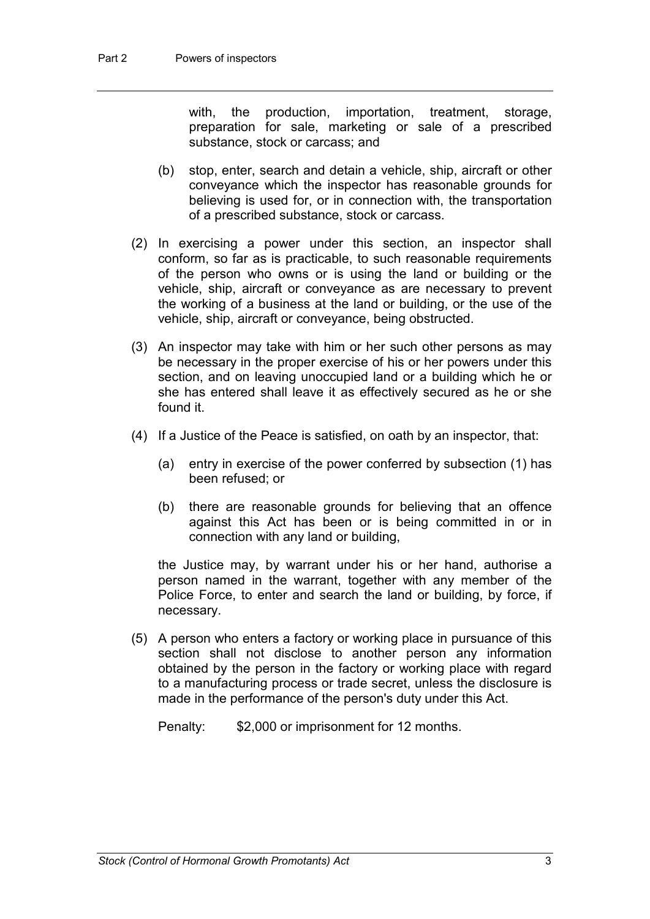with, the production, importation, treatment, storage, preparation for sale, marketing or sale of a prescribed substance, stock or carcass; and

- (b) stop, enter, search and detain a vehicle, ship, aircraft or other conveyance which the inspector has reasonable grounds for believing is used for, or in connection with, the transportation of a prescribed substance, stock or carcass.
- (2) In exercising a power under this section, an inspector shall conform, so far as is practicable, to such reasonable requirements of the person who owns or is using the land or building or the vehicle, ship, aircraft or conveyance as are necessary to prevent the working of a business at the land or building, or the use of the vehicle, ship, aircraft or conveyance, being obstructed.
- (3) An inspector may take with him or her such other persons as may be necessary in the proper exercise of his or her powers under this section, and on leaving unoccupied land or a building which he or she has entered shall leave it as effectively secured as he or she found it.
- (4) If a Justice of the Peace is satisfied, on oath by an inspector, that:
	- (a) entry in exercise of the power conferred by subsection (1) has been refused; or
	- (b) there are reasonable grounds for believing that an offence against this Act has been or is being committed in or in connection with any land or building,

the Justice may, by warrant under his or her hand, authorise a person named in the warrant, together with any member of the Police Force, to enter and search the land or building, by force, if necessary.

(5) A person who enters a factory or working place in pursuance of this section shall not disclose to another person any information obtained by the person in the factory or working place with regard to a manufacturing process or trade secret, unless the disclosure is made in the performance of the person's duty under this Act.

Penalty: \$2,000 or imprisonment for 12 months.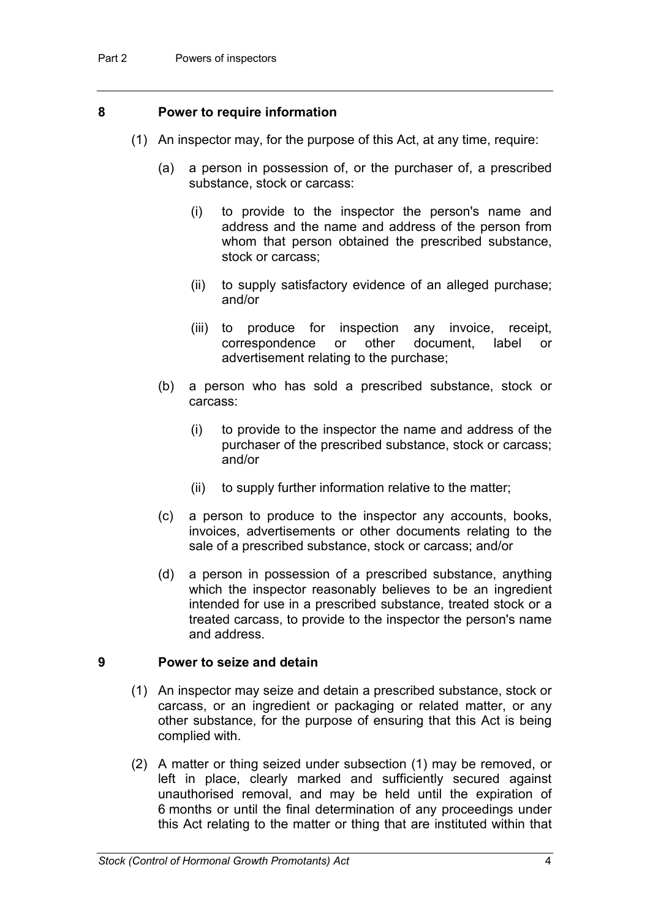#### **8 Power to require information**

- (1) An inspector may, for the purpose of this Act, at any time, require:
	- (a) a person in possession of, or the purchaser of, a prescribed substance, stock or carcass:
		- (i) to provide to the inspector the person's name and address and the name and address of the person from whom that person obtained the prescribed substance, stock or carcass;
		- (ii) to supply satisfactory evidence of an alleged purchase; and/or
		- (iii) to produce for inspection any invoice, receipt, correspondence or other document, label or advertisement relating to the purchase;
	- (b) a person who has sold a prescribed substance, stock or carcass:
		- (i) to provide to the inspector the name and address of the purchaser of the prescribed substance, stock or carcass; and/or
		- (ii) to supply further information relative to the matter;
	- (c) a person to produce to the inspector any accounts, books, invoices, advertisements or other documents relating to the sale of a prescribed substance, stock or carcass; and/or
	- (d) a person in possession of a prescribed substance, anything which the inspector reasonably believes to be an ingredient intended for use in a prescribed substance, treated stock or a treated carcass, to provide to the inspector the person's name and address.

#### **9 Power to seize and detain**

- (1) An inspector may seize and detain a prescribed substance, stock or carcass, or an ingredient or packaging or related matter, or any other substance, for the purpose of ensuring that this Act is being complied with.
- (2) A matter or thing seized under subsection (1) may be removed, or left in place, clearly marked and sufficiently secured against unauthorised removal, and may be held until the expiration of 6 months or until the final determination of any proceedings under this Act relating to the matter or thing that are instituted within that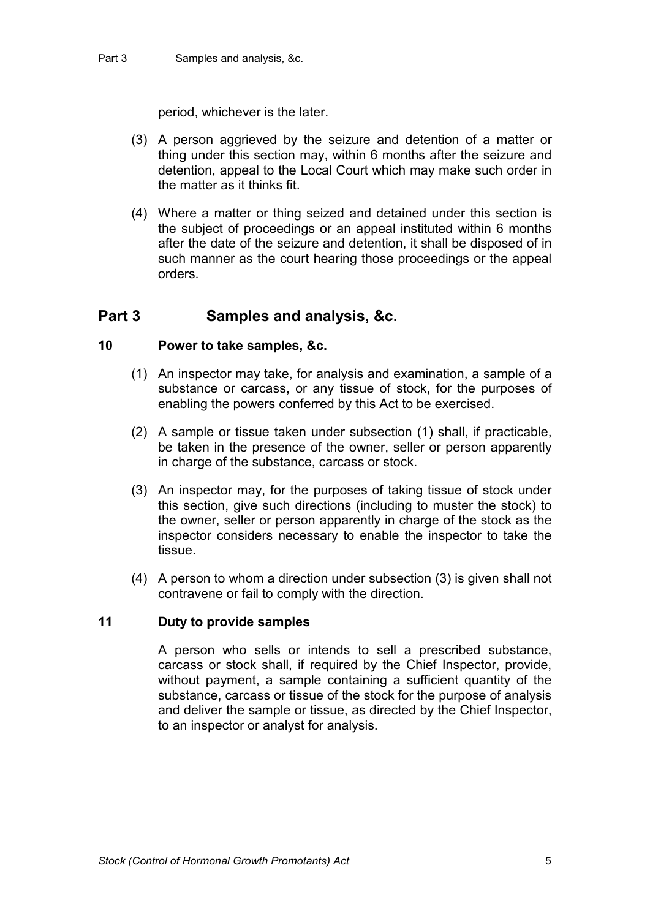period, whichever is the later.

- (3) A person aggrieved by the seizure and detention of a matter or thing under this section may, within 6 months after the seizure and detention, appeal to the Local Court which may make such order in the matter as it thinks fit.
- (4) Where a matter or thing seized and detained under this section is the subject of proceedings or an appeal instituted within 6 months after the date of the seizure and detention, it shall be disposed of in such manner as the court hearing those proceedings or the appeal orders.

# **Part 3 Samples and analysis, &c.**

### **10 Power to take samples, &c.**

- (1) An inspector may take, for analysis and examination, a sample of a substance or carcass, or any tissue of stock, for the purposes of enabling the powers conferred by this Act to be exercised.
- (2) A sample or tissue taken under subsection (1) shall, if practicable, be taken in the presence of the owner, seller or person apparently in charge of the substance, carcass or stock.
- (3) An inspector may, for the purposes of taking tissue of stock under this section, give such directions (including to muster the stock) to the owner, seller or person apparently in charge of the stock as the inspector considers necessary to enable the inspector to take the tissue.
- (4) A person to whom a direction under subsection (3) is given shall not contravene or fail to comply with the direction.

### **11 Duty to provide samples**

A person who sells or intends to sell a prescribed substance, carcass or stock shall, if required by the Chief Inspector, provide, without payment, a sample containing a sufficient quantity of the substance, carcass or tissue of the stock for the purpose of analysis and deliver the sample or tissue, as directed by the Chief Inspector, to an inspector or analyst for analysis.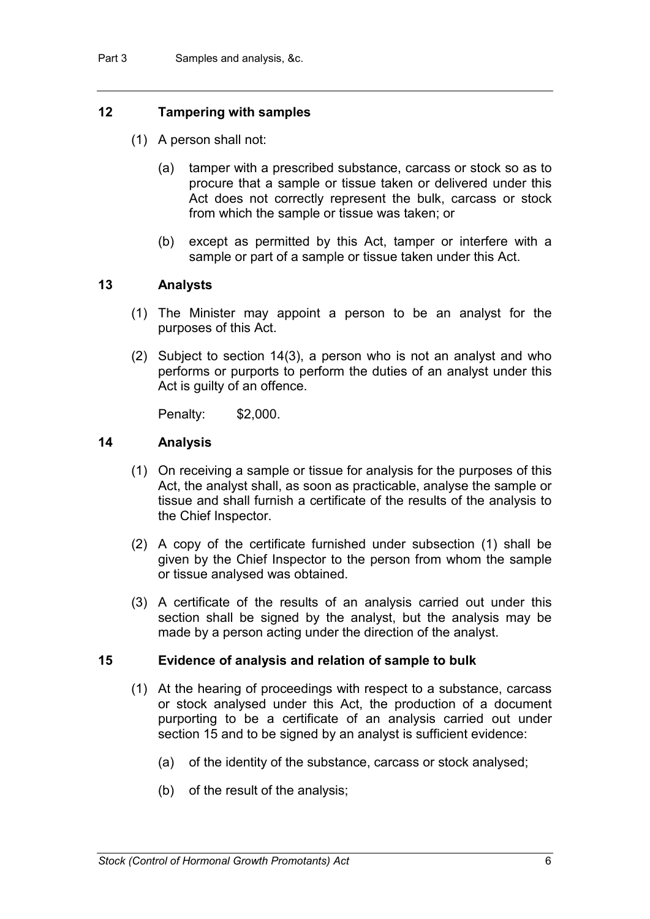## **12 Tampering with samples**

- (1) A person shall not:
	- (a) tamper with a prescribed substance, carcass or stock so as to procure that a sample or tissue taken or delivered under this Act does not correctly represent the bulk, carcass or stock from which the sample or tissue was taken; or
	- (b) except as permitted by this Act, tamper or interfere with a sample or part of a sample or tissue taken under this Act.

#### **13 Analysts**

- (1) The Minister may appoint a person to be an analyst for the purposes of this Act.
- (2) Subject to section 14(3), a person who is not an analyst and who performs or purports to perform the duties of an analyst under this Act is guilty of an offence.

Penalty: \$2,000.

#### **14 Analysis**

- (1) On receiving a sample or tissue for analysis for the purposes of this Act, the analyst shall, as soon as practicable, analyse the sample or tissue and shall furnish a certificate of the results of the analysis to the Chief Inspector.
- (2) A copy of the certificate furnished under subsection (1) shall be given by the Chief Inspector to the person from whom the sample or tissue analysed was obtained.
- (3) A certificate of the results of an analysis carried out under this section shall be signed by the analyst, but the analysis may be made by a person acting under the direction of the analyst.

#### **15 Evidence of analysis and relation of sample to bulk**

- (1) At the hearing of proceedings with respect to a substance, carcass or stock analysed under this Act, the production of a document purporting to be a certificate of an analysis carried out under section 15 and to be signed by an analyst is sufficient evidence:
	- (a) of the identity of the substance, carcass or stock analysed;
	- (b) of the result of the analysis;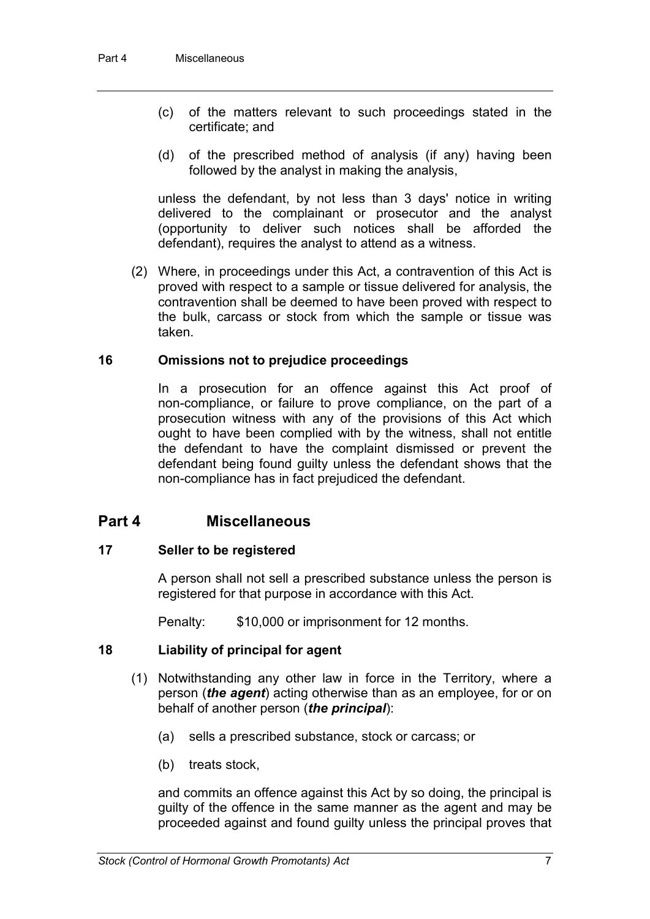- (c) of the matters relevant to such proceedings stated in the certificate; and
- (d) of the prescribed method of analysis (if any) having been followed by the analyst in making the analysis,

unless the defendant, by not less than 3 days' notice in writing delivered to the complainant or prosecutor and the analyst (opportunity to deliver such notices shall be afforded the defendant), requires the analyst to attend as a witness.

(2) Where, in proceedings under this Act, a contravention of this Act is proved with respect to a sample or tissue delivered for analysis, the contravention shall be deemed to have been proved with respect to the bulk, carcass or stock from which the sample or tissue was taken.

### **16 Omissions not to prejudice proceedings**

In a prosecution for an offence against this Act proof of non-compliance, or failure to prove compliance, on the part of a prosecution witness with any of the provisions of this Act which ought to have been complied with by the witness, shall not entitle the defendant to have the complaint dismissed or prevent the defendant being found guilty unless the defendant shows that the non-compliance has in fact prejudiced the defendant.

# **Part 4 Miscellaneous**

### **17 Seller to be registered**

A person shall not sell a prescribed substance unless the person is registered for that purpose in accordance with this Act.

Penalty: \$10,000 or imprisonment for 12 months.

### **18 Liability of principal for agent**

- (1) Notwithstanding any other law in force in the Territory, where a person (*the agent*) acting otherwise than as an employee, for or on behalf of another person (*the principal*):
	- (a) sells a prescribed substance, stock or carcass; or
	- (b) treats stock,

and commits an offence against this Act by so doing, the principal is guilty of the offence in the same manner as the agent and may be proceeded against and found guilty unless the principal proves that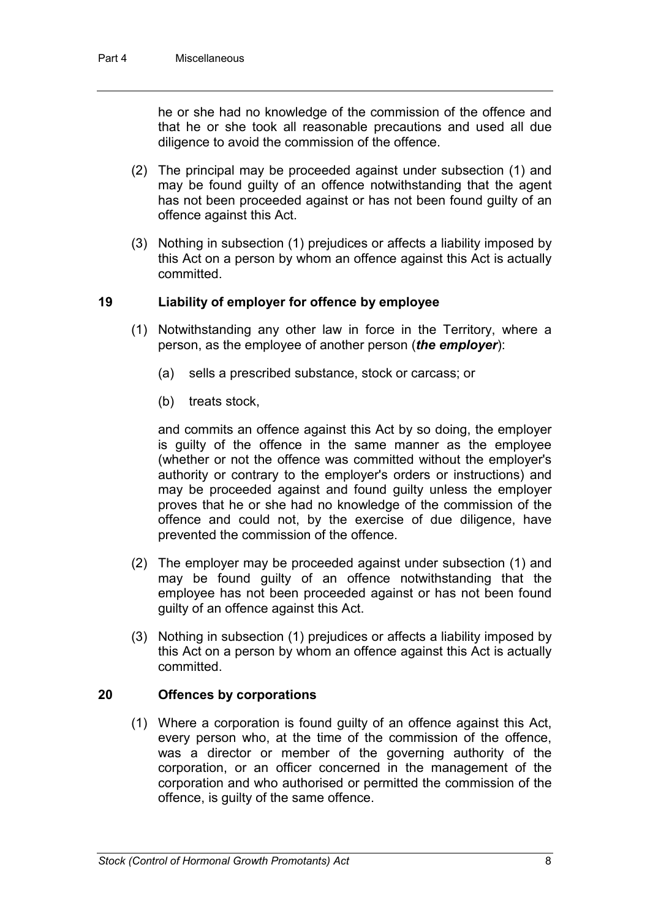he or she had no knowledge of the commission of the offence and that he or she took all reasonable precautions and used all due diligence to avoid the commission of the offence.

- (2) The principal may be proceeded against under subsection (1) and may be found guilty of an offence notwithstanding that the agent has not been proceeded against or has not been found guilty of an offence against this Act.
- (3) Nothing in subsection (1) prejudices or affects a liability imposed by this Act on a person by whom an offence against this Act is actually committed.

## **19 Liability of employer for offence by employee**

- (1) Notwithstanding any other law in force in the Territory, where a person, as the employee of another person (*the employer*):
	- (a) sells a prescribed substance, stock or carcass; or
	- (b) treats stock,

and commits an offence against this Act by so doing, the employer is guilty of the offence in the same manner as the employee (whether or not the offence was committed without the employer's authority or contrary to the employer's orders or instructions) and may be proceeded against and found guilty unless the employer proves that he or she had no knowledge of the commission of the offence and could not, by the exercise of due diligence, have prevented the commission of the offence.

- (2) The employer may be proceeded against under subsection (1) and may be found guilty of an offence notwithstanding that the employee has not been proceeded against or has not been found guilty of an offence against this Act.
- (3) Nothing in subsection (1) prejudices or affects a liability imposed by this Act on a person by whom an offence against this Act is actually committed.

### **20 Offences by corporations**

(1) Where a corporation is found guilty of an offence against this Act, every person who, at the time of the commission of the offence, was a director or member of the governing authority of the corporation, or an officer concerned in the management of the corporation and who authorised or permitted the commission of the offence, is guilty of the same offence.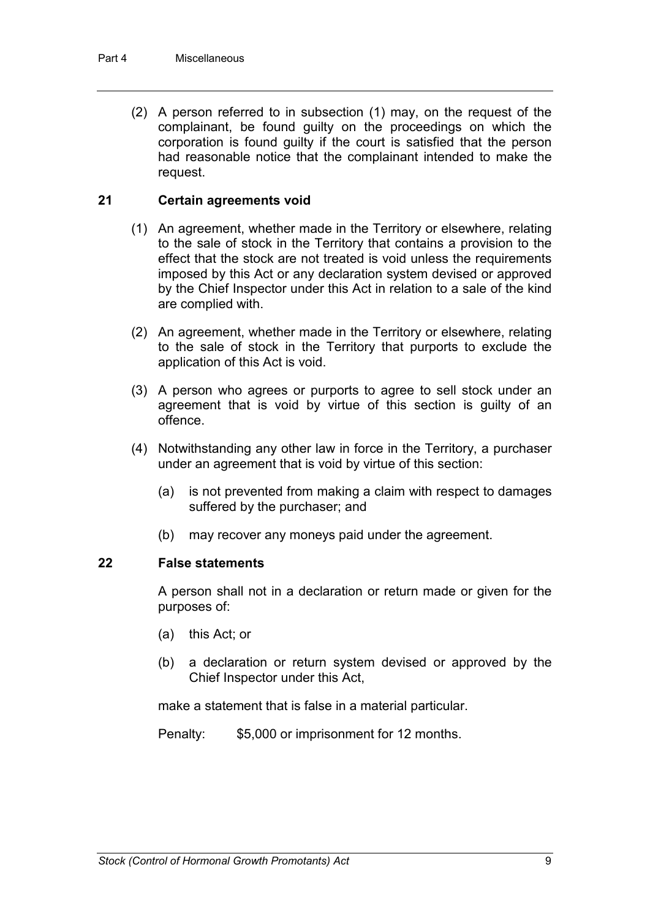(2) A person referred to in subsection (1) may, on the request of the complainant, be found guilty on the proceedings on which the corporation is found guilty if the court is satisfied that the person had reasonable notice that the complainant intended to make the request.

## **21 Certain agreements void**

- (1) An agreement, whether made in the Territory or elsewhere, relating to the sale of stock in the Territory that contains a provision to the effect that the stock are not treated is void unless the requirements imposed by this Act or any declaration system devised or approved by the Chief Inspector under this Act in relation to a sale of the kind are complied with.
- (2) An agreement, whether made in the Territory or elsewhere, relating to the sale of stock in the Territory that purports to exclude the application of this Act is void.
- (3) A person who agrees or purports to agree to sell stock under an agreement that is void by virtue of this section is guilty of an offence.
- (4) Notwithstanding any other law in force in the Territory, a purchaser under an agreement that is void by virtue of this section:
	- (a) is not prevented from making a claim with respect to damages suffered by the purchaser; and
	- (b) may recover any moneys paid under the agreement.

### **22 False statements**

A person shall not in a declaration or return made or given for the purposes of:

- (a) this Act; or
- (b) a declaration or return system devised or approved by the Chief Inspector under this Act,

make a statement that is false in a material particular.

Penalty: \$5,000 or imprisonment for 12 months.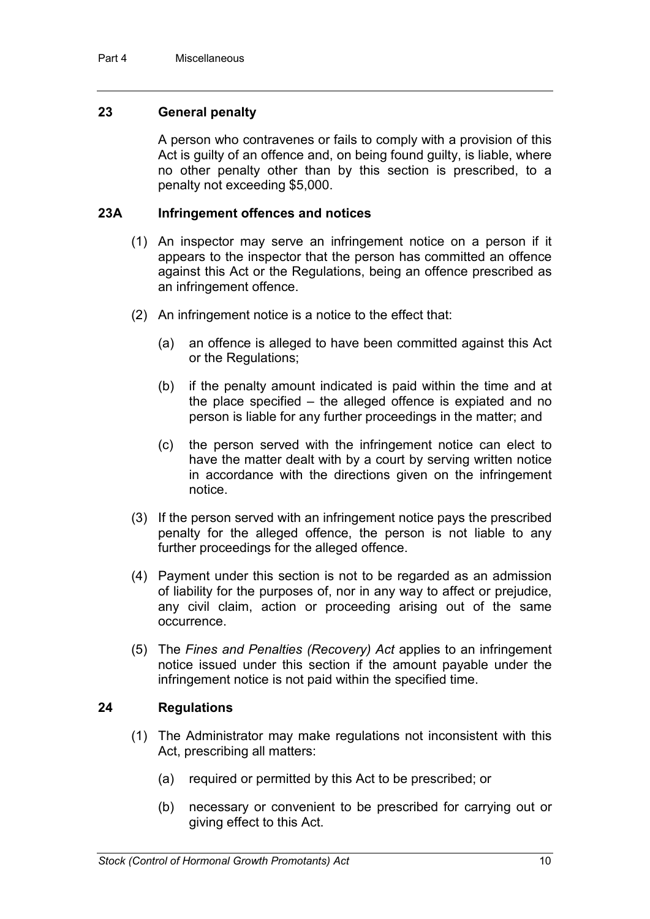## **23 General penalty**

A person who contravenes or fails to comply with a provision of this Act is guilty of an offence and, on being found guilty, is liable, where no other penalty other than by this section is prescribed, to a penalty not exceeding \$5,000.

### **23A Infringement offences and notices**

- (1) An inspector may serve an infringement notice on a person if it appears to the inspector that the person has committed an offence against this Act or the Regulations, being an offence prescribed as an infringement offence.
- (2) An infringement notice is a notice to the effect that:
	- (a) an offence is alleged to have been committed against this Act or the Regulations;
	- (b) if the penalty amount indicated is paid within the time and at the place specified – the alleged offence is expiated and no person is liable for any further proceedings in the matter; and
	- (c) the person served with the infringement notice can elect to have the matter dealt with by a court by serving written notice in accordance with the directions given on the infringement notice.
- (3) If the person served with an infringement notice pays the prescribed penalty for the alleged offence, the person is not liable to any further proceedings for the alleged offence.
- (4) Payment under this section is not to be regarded as an admission of liability for the purposes of, nor in any way to affect or prejudice, any civil claim, action or proceeding arising out of the same occurrence.
- (5) The *Fines and Penalties (Recovery) Act* applies to an infringement notice issued under this section if the amount payable under the infringement notice is not paid within the specified time.

### **24 Regulations**

- (1) The Administrator may make regulations not inconsistent with this Act, prescribing all matters:
	- (a) required or permitted by this Act to be prescribed; or
	- (b) necessary or convenient to be prescribed for carrying out or giving effect to this Act.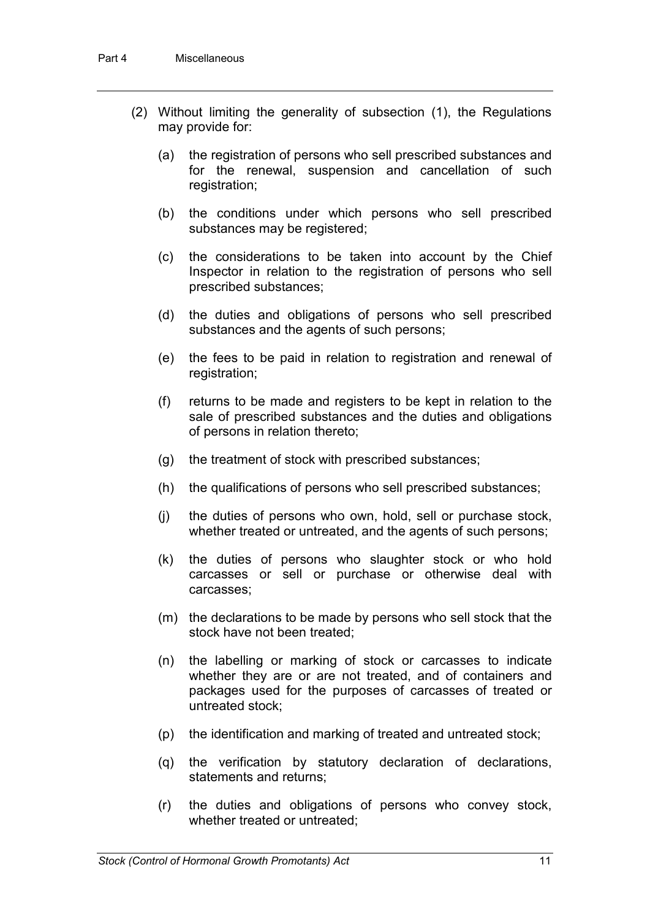- (2) Without limiting the generality of subsection (1), the Regulations may provide for:
	- (a) the registration of persons who sell prescribed substances and for the renewal, suspension and cancellation of such registration;
	- (b) the conditions under which persons who sell prescribed substances may be registered;
	- (c) the considerations to be taken into account by the Chief Inspector in relation to the registration of persons who sell prescribed substances;
	- (d) the duties and obligations of persons who sell prescribed substances and the agents of such persons;
	- (e) the fees to be paid in relation to registration and renewal of registration;
	- (f) returns to be made and registers to be kept in relation to the sale of prescribed substances and the duties and obligations of persons in relation thereto;
	- (g) the treatment of stock with prescribed substances;
	- (h) the qualifications of persons who sell prescribed substances;
	- (j) the duties of persons who own, hold, sell or purchase stock, whether treated or untreated, and the agents of such persons;
	- (k) the duties of persons who slaughter stock or who hold carcasses or sell or purchase or otherwise deal with carcasses;
	- (m) the declarations to be made by persons who sell stock that the stock have not been treated;
	- (n) the labelling or marking of stock or carcasses to indicate whether they are or are not treated, and of containers and packages used for the purposes of carcasses of treated or untreated stock;
	- (p) the identification and marking of treated and untreated stock;
	- (q) the verification by statutory declaration of declarations, statements and returns;
	- (r) the duties and obligations of persons who convey stock, whether treated or untreated;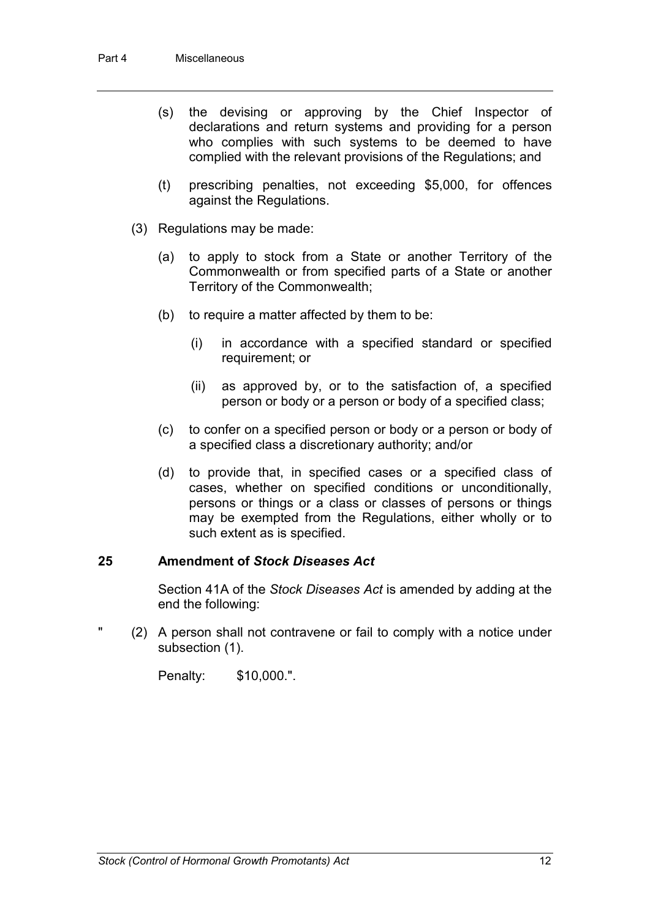- (s) the devising or approving by the Chief Inspector of declarations and return systems and providing for a person who complies with such systems to be deemed to have complied with the relevant provisions of the Regulations; and
- (t) prescribing penalties, not exceeding \$5,000, for offences against the Regulations.
- (3) Regulations may be made:
	- (a) to apply to stock from a State or another Territory of the Commonwealth or from specified parts of a State or another Territory of the Commonwealth;
	- (b) to require a matter affected by them to be:
		- (i) in accordance with a specified standard or specified requirement; or
		- (ii) as approved by, or to the satisfaction of, a specified person or body or a person or body of a specified class;
	- (c) to confer on a specified person or body or a person or body of a specified class a discretionary authority; and/or
	- (d) to provide that, in specified cases or a specified class of cases, whether on specified conditions or unconditionally, persons or things or a class or classes of persons or things may be exempted from the Regulations, either wholly or to such extent as is specified.

### **25 Amendment of** *Stock Diseases Act*

Section 41A of the *Stock Diseases Act* is amended by adding at the end the following:

" (2) A person shall not contravene or fail to comply with a notice under subsection (1).

Penalty: \$10,000.".